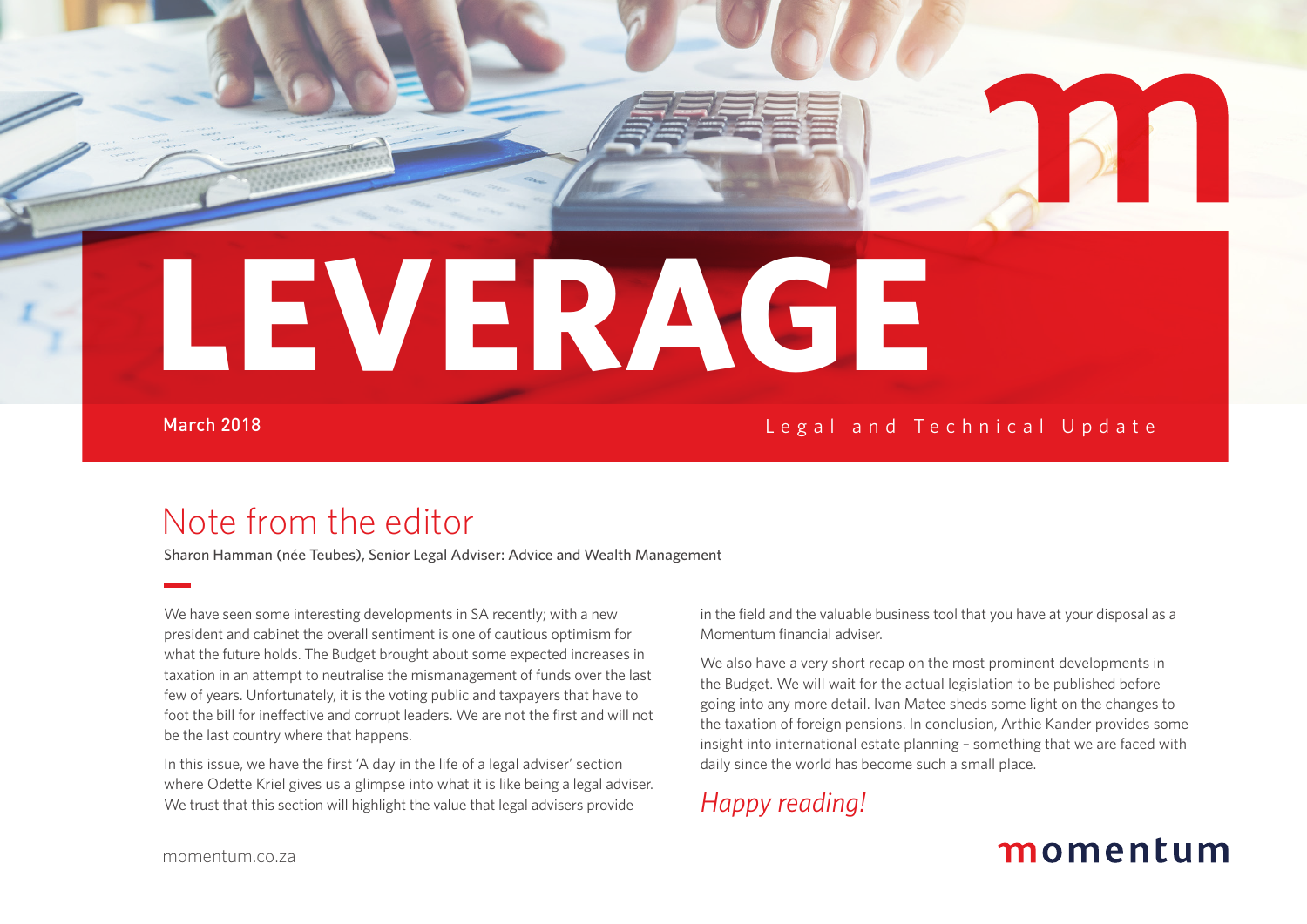**LEVERAGE**

#### March 2018

Legal and Technical Update

### Note from the editor

Sharon Hamman (née Teubes), Senior Legal Adviser: Advice and Wealth Management

We have seen some interesting developments in SA recently; with a new president and cabinet the overall sentiment is one of cautious optimism for what the future holds. The Budget brought about some expected increases in taxation in an attempt to neutralise the mismanagement of funds over the last few of years. Unfortunately, it is the voting public and taxpayers that have to foot the bill for ineffective and corrupt leaders. We are not the first and will not be the last country where that happens.

In this issue, we have the first 'A day in the life of a legal adviser' section where Odette Kriel gives us a glimpse into what it is like being a legal adviser. We trust that this section will highlight the value that legal advisers provide

in the field and the valuable business tool that you have at your disposal as a Momentum financial adviser.

We also have a very short recap on the most prominent developments in the Budget. We will wait for the actual legislation to be published before going into any more detail. Ivan Matee sheds some light on the changes to the taxation of foreign pensions. In conclusion, Arthie Kander provides some insight into international estate planning – something that we are faced with daily since the world has become such a small place.

*Happy reading!*

### momentum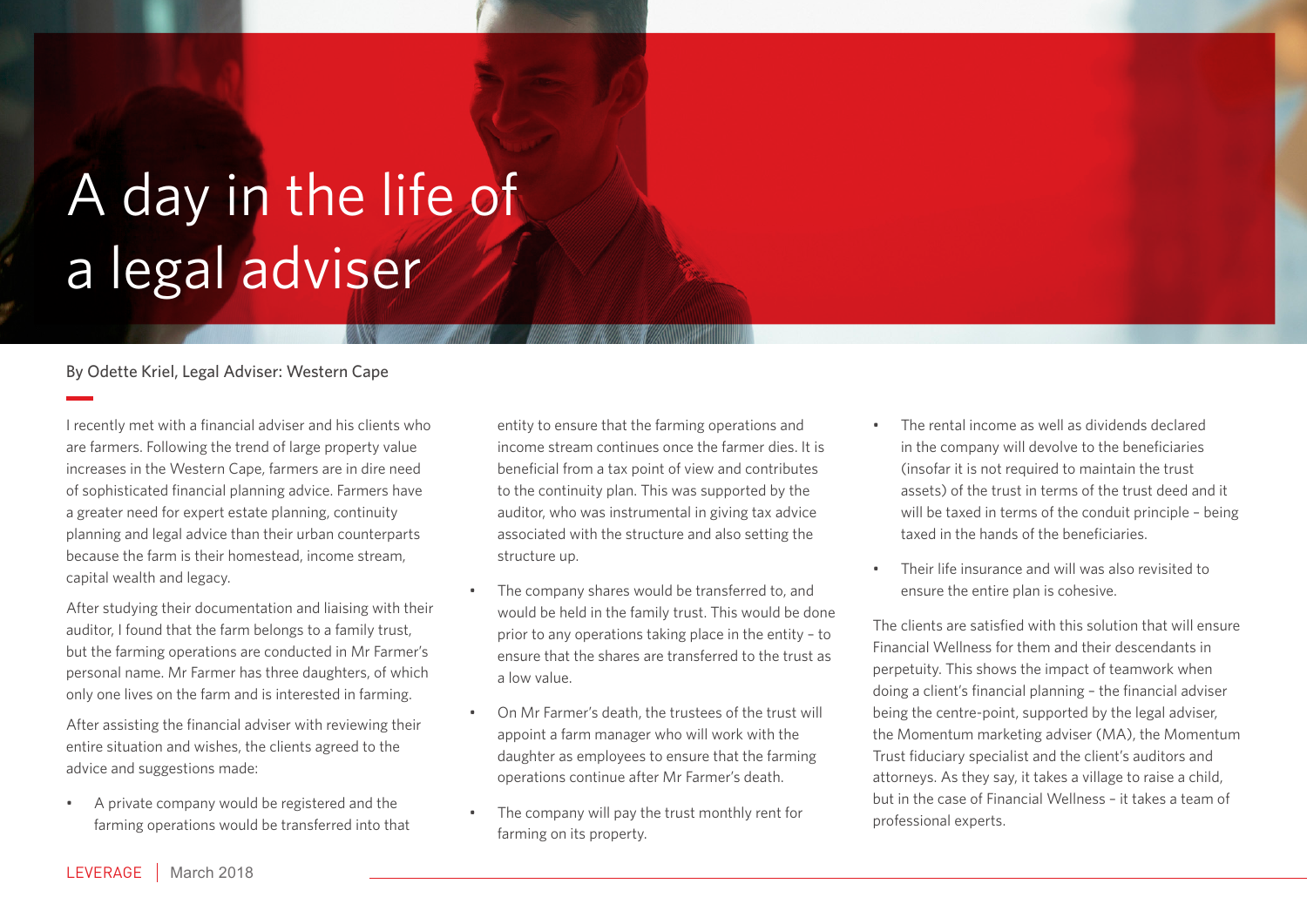# A day in the life of a legal adviser

#### By Odette Kriel, Legal Adviser: Western Cape

I recently met with a financial adviser and his clients who are farmers. Following the trend of large property value increases in the Western Cape, farmers are in dire need of sophisticated financial planning advice. Farmers have a greater need for expert estate planning, continuity planning and legal advice than their urban counterparts because the farm is their homestead, income stream, capital wealth and legacy.

After studying their documentation and liaising with their auditor, I found that the farm belongs to a family trust, but the farming operations are conducted in Mr Farmer's personal name. Mr Farmer has three daughters, of which only one lives on the farm and is interested in farming.

After assisting the financial adviser with reviewing their entire situation and wishes, the clients agreed to the advice and suggestions made:

• A private company would be registered and the farming operations would be transferred into that

entity to ensure that the farming operations and income stream continues once the farmer dies. It is beneficial from a tax point of view and contributes to the continuity plan. This was supported by the auditor, who was instrumental in giving tax advice associated with the structure and also setting the structure up.

- The company shares would be transferred to, and would be held in the family trust. This would be done prior to any operations taking place in the entity – to ensure that the shares are transferred to the trust as a low value.
- On Mr Farmer's death, the trustees of the trust will appoint a farm manager who will work with the daughter as employees to ensure that the farming operations continue after Mr Farmer's death.
- The company will pay the trust monthly rent for farming on its property.
- The rental income as well as dividends declared in the company will devolve to the beneficiaries (insofar it is not required to maintain the trust assets) of the trust in terms of the trust deed and it will be taxed in terms of the conduit principle - being taxed in the hands of the beneficiaries.
- Their life insurance and will was also revisited to ensure the entire plan is cohesive.

The clients are satisfied with this solution that will ensure Financial Wellness for them and their descendants in perpetuity. This shows the impact of teamwork when doing a client's financial planning – the financial adviser being the centre-point, supported by the legal adviser, the Momentum marketing adviser (MA), the Momentum Trust fiduciary specialist and the client's auditors and attorneys. As they say, it takes a village to raise a child, but in the case of Financial Wellness – it takes a team of professional experts.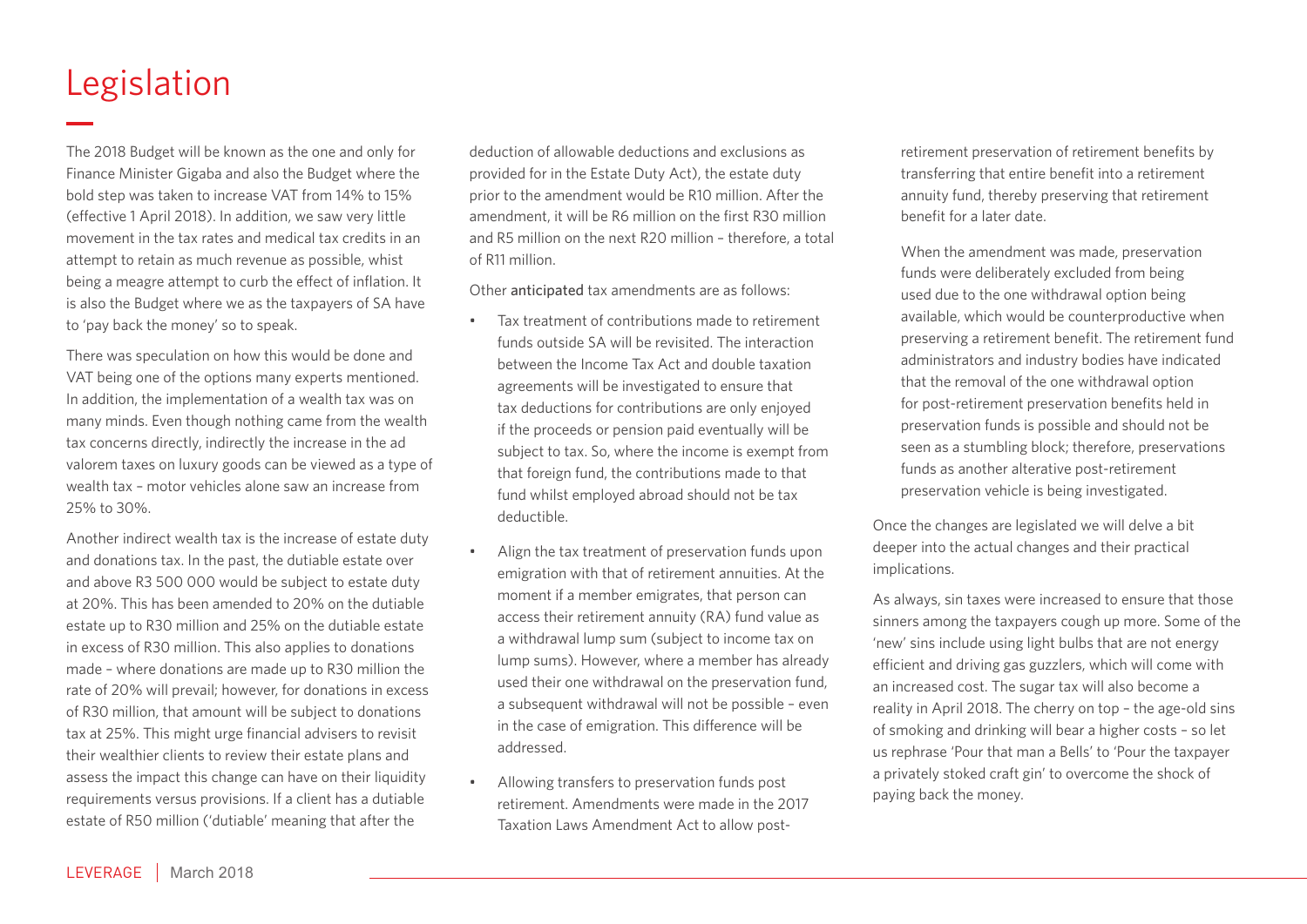### Legislation

The 2018 Budget will be known as the one and only for Finance Minister Gigaba and also the Budget where the bold step was taken to increase VAT from 14% to 15% (effective 1 April 2018). In addition, we saw very little movement in the tax rates and medical tax credits in an attempt to retain as much revenue as possible, whist being a meagre attempt to curb the effect of inflation. It is also the Budget where we as the taxpayers of SA have to 'pay back the money' so to speak.

There was speculation on how this would be done and VAT being one of the options many experts mentioned. In addition, the implementation of a wealth tax was on many minds. Even though nothing came from the wealth tax concerns directly, indirectly the increase in the ad valorem taxes on luxury goods can be viewed as a type of wealth tax – motor vehicles alone saw an increase from 25% to 30%.

Another indirect wealth tax is the increase of estate duty and donations tax. In the past, the dutiable estate over and above R3 500 000 would be subject to estate duty at 20%. This has been amended to 20% on the dutiable estate up to R30 million and 25% on the dutiable estate in excess of R30 million. This also applies to donations made – where donations are made up to R30 million the rate of 20% will prevail; however, for donations in excess of R30 million, that amount will be subject to donations tax at 25%. This might urge financial advisers to revisit their wealthier clients to review their estate plans and assess the impact this change can have on their liquidity requirements versus provisions. If a client has a dutiable estate of R50 million ('dutiable' meaning that after the

deduction of allowable deductions and exclusions as provided for in the Estate Duty Act), the estate duty prior to the amendment would be R10 million. After the amendment, it will be R6 million on the first R30 million and R5 million on the next R20 million – therefore, a total of R11 million.

Other anticipated tax amendments are as follows:

- Tax treatment of contributions made to retirement funds outside SA will be revisited. The interaction between the Income Tax Act and double taxation agreements will be investigated to ensure that tax deductions for contributions are only enjoyed if the proceeds or pension paid eventually will be subject to tax. So, where the income is exempt from that foreign fund, the contributions made to that fund whilst employed abroad should not be tax deductible.
- Align the tax treatment of preservation funds upon emigration with that of retirement annuities. At the moment if a member emigrates, that person can access their retirement annuity (RA) fund value as a withdrawal lump sum (subject to income tax on lump sums). However, where a member has already used their one withdrawal on the preservation fund, a subsequent withdrawal will not be possible – even in the case of emigration. This difference will be addressed.
- Allowing transfers to preservation funds post retirement. Amendments were made in the 2017 Taxation Laws Amendment Act to allow post-

retirement preservation of retirement benefits by transferring that entire benefit into a retirement annuity fund, thereby preserving that retirement benefit for a later date.

When the amendment was made, preservation funds were deliberately excluded from being used due to the one withdrawal option being available, which would be counterproductive when preserving a retirement benefit. The retirement fund administrators and industry bodies have indicated that the removal of the one withdrawal option for post-retirement preservation benefits held in preservation funds is possible and should not be seen as a stumbling block; therefore, preservations funds as another alterative post-retirement preservation vehicle is being investigated.

Once the changes are legislated we will delve a bit deeper into the actual changes and their practical implications.

As always, sin taxes were increased to ensure that those sinners among the taxpayers cough up more. Some of the 'new' sins include using light bulbs that are not energy efficient and driving gas guzzlers, which will come with an increased cost. The sugar tax will also become a reality in April 2018. The cherry on top – the age-old sins of smoking and drinking will bear a higher costs – so let us rephrase 'Pour that man a Bells' to 'Pour the taxpayer a privately stoked craft gin' to overcome the shock of paying back the money.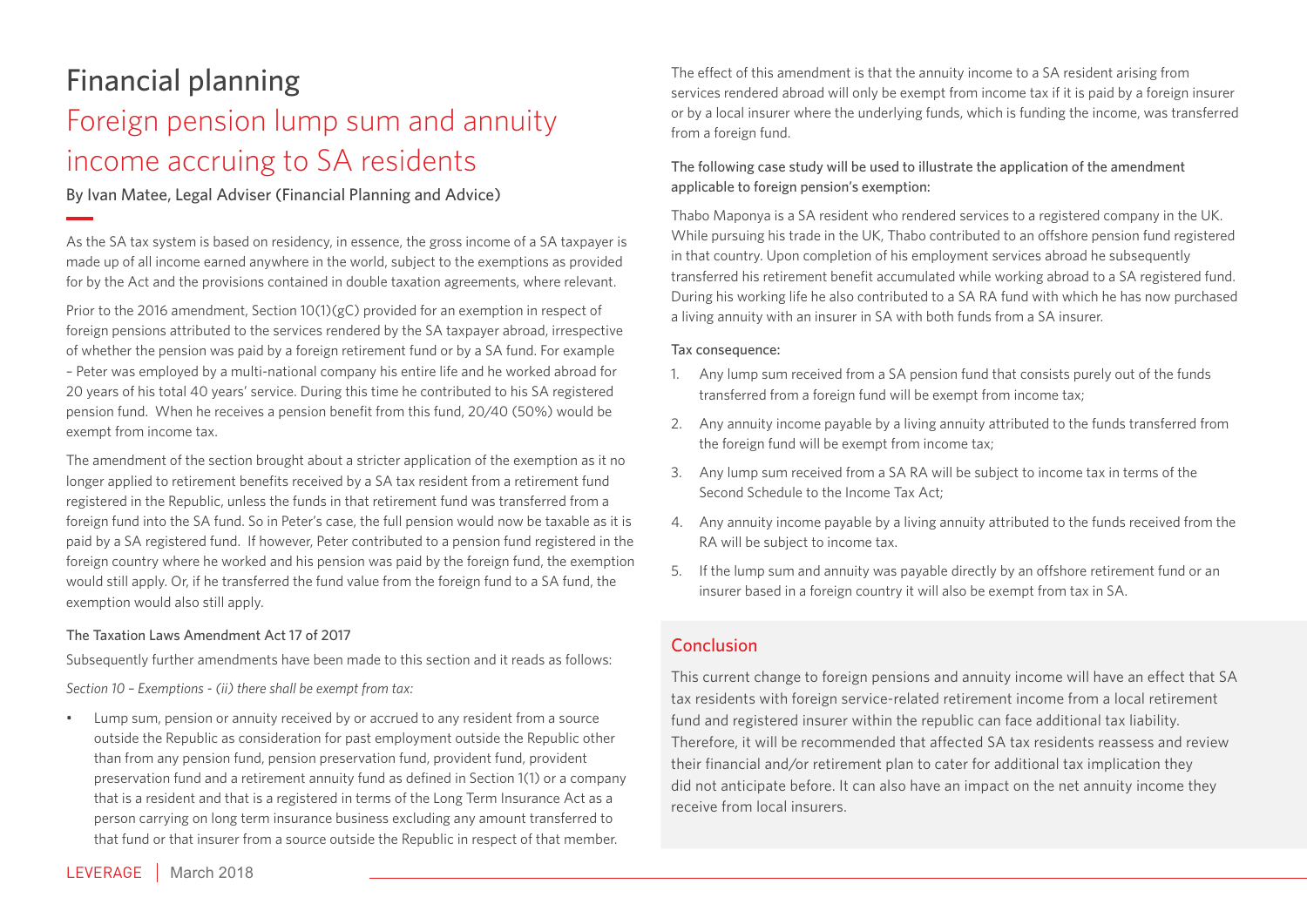### Financial planning Foreign pension lump sum and annuity income accruing to SA residents

By Ivan Matee, Legal Adviser (Financial Planning and Advice)

As the SA tax system is based on residency, in essence, the gross income of a SA taxpayer is made up of all income earned anywhere in the world, subject to the exemptions as provided for by the Act and the provisions contained in double taxation agreements, where relevant.

Prior to the 2016 amendment, Section 10(1)(gC) provided for an exemption in respect of foreign pensions attributed to the services rendered by the SA taxpayer abroad, irrespective of whether the pension was paid by a foreign retirement fund or by a SA fund. For example – Peter was employed by a multi-national company his entire life and he worked abroad for 20 years of his total 40 years' service. During this time he contributed to his SA registered pension fund. When he receives a pension benefit from this fund, 20/40 (50%) would be exempt from income tax.

The amendment of the section brought about a stricter application of the exemption as it no longer applied to retirement benefits received by a SA tax resident from a retirement fund registered in the Republic, unless the funds in that retirement fund was transferred from a foreign fund into the SA fund. So in Peter's case, the full pension would now be taxable as it is paid by a SA registered fund. If however, Peter contributed to a pension fund registered in the foreign country where he worked and his pension was paid by the foreign fund, the exemption would still apply. Or, if he transferred the fund value from the foreign fund to a SA fund, the exemption would also still apply.

#### The Taxation Laws Amendment Act 17 of 2017

Subsequently further amendments have been made to this section and it reads as follows:

*Section 10 – Exemptions - (ii) there shall be exempt from tax:*

• Lump sum, pension or annuity received by or accrued to any resident from a source outside the Republic as consideration for past employment outside the Republic other than from any pension fund, pension preservation fund, provident fund, provident preservation fund and a retirement annuity fund as defined in Section 1(1) or a company that is a resident and that is a registered in terms of the Long Term Insurance Act as a person carrying on long term insurance business excluding any amount transferred to that fund or that insurer from a source outside the Republic in respect of that member.

The effect of this amendment is that the annuity income to a SA resident arising from services rendered abroad will only be exempt from income tax if it is paid by a foreign insurer or by a local insurer where the underlying funds, which is funding the income, was transferred from a foreign fund.

#### The following case study will be used to illustrate the application of the amendment applicable to foreign pension's exemption:

Thabo Maponya is a SA resident who rendered services to a registered company in the UK. While pursuing his trade in the UK, Thabo contributed to an offshore pension fund registered in that country. Upon completion of his employment services abroad he subsequently transferred his retirement benefit accumulated while working abroad to a SA registered fund. During his working life he also contributed to a SA RA fund with which he has now purchased a living annuity with an insurer in SA with both funds from a SA insurer.

#### Tax consequence:

- 1. Any lump sum received from a SA pension fund that consists purely out of the funds transferred from a foreign fund will be exempt from income tax;
- 2. Any annuity income payable by a living annuity attributed to the funds transferred from the foreign fund will be exempt from income tax;
- 3. Any lump sum received from a SA RA will be subject to income tax in terms of the Second Schedule to the Income Tax Act;
- 4. Any annuity income payable by a living annuity attributed to the funds received from the RA will be subject to income tax.
- 5. If the lump sum and annuity was payable directly by an offshore retirement fund or an insurer based in a foreign country it will also be exempt from tax in SA.

### Conclusion

This current change to foreign pensions and annuity income will have an effect that SA tax residents with foreign service-related retirement income from a local retirement fund and registered insurer within the republic can face additional tax liability. Therefore, it will be recommended that affected SA tax residents reassess and review their financial and/or retirement plan to cater for additional tax implication they did not anticipate before. It can also have an impact on the net annuity income they receive from local insurers.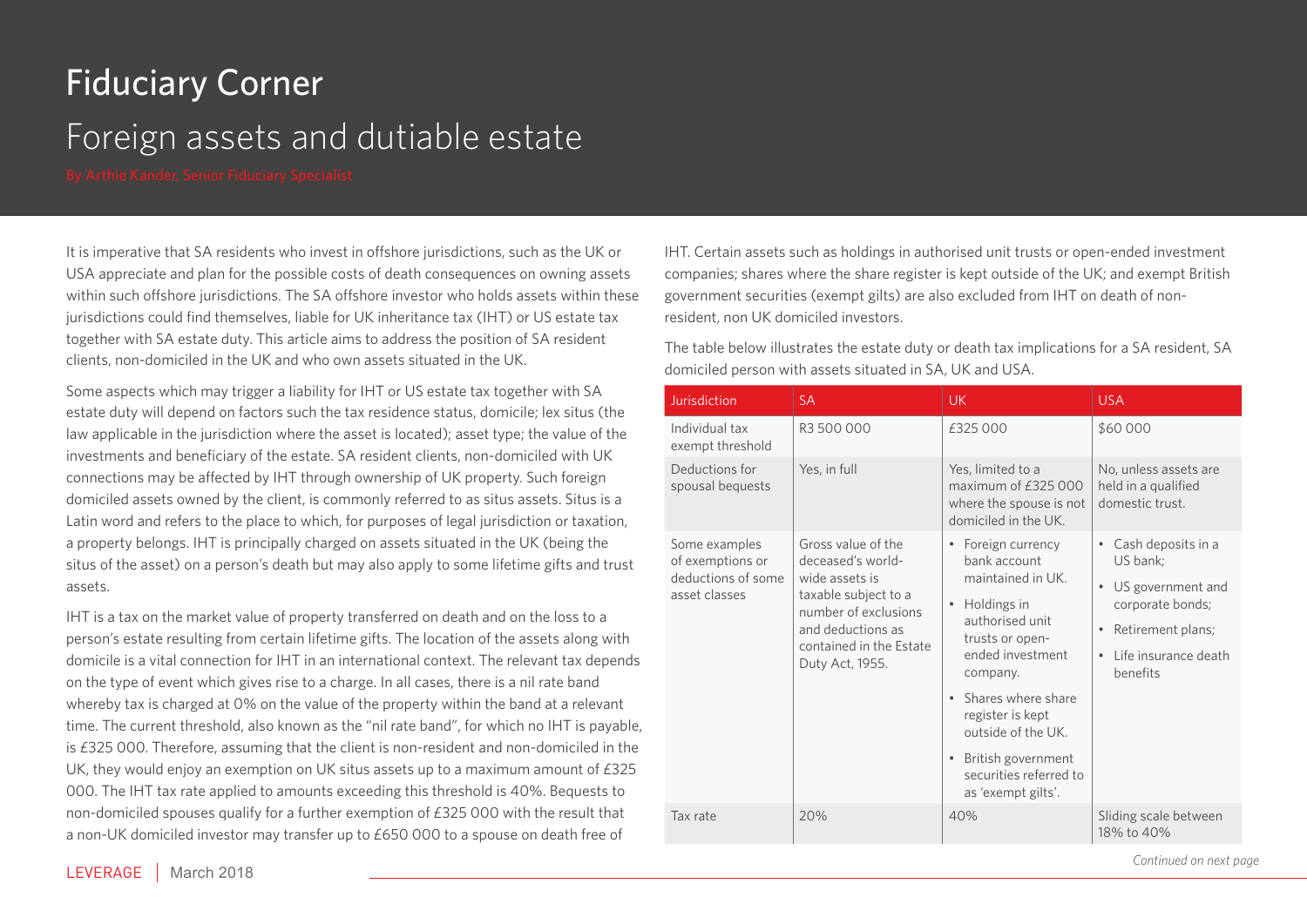## Fiduciary Corner

### Foreign assets and dutiable estate

It is imperative that SA residents who invest in offshore jurisdictions, such as the UK or USA appreciate and plan for the possible costs of death consequences on owning assets within such offshore jurisdictions. The SA offshore investor who holds assets within these jurisdictions could find themselves, liable for UK inheritance tax (IHT) or US estate tax together with SA estate duty. This article aims to address the position of SA resident clients, non-domiciled in the UK and who own assets situated in the UK.

Some aspects which may trigger a liability for IHT or US estate tax together with SA estate duty will depend on factors such the tax residence status, domicile; lex situs (the law applicable in the jurisdiction where the asset is located); asset type; the value of the investments and beneficiary of the estate. SA resident clients, non-domiciled with UK connections may be affected by IHT through ownership of UK property. Such foreign domiciled assets owned by the client, is commonly referred to as situs assets. Situs is a Latin word and refers to the place to which, for purposes of legal jurisdiction or taxation, a property belongs. IHT is principally charged on assets situated in the UK (being the situs of the asset) on a person's death but may also apply to some lifetime gifts and trust assets.

IHT is a tax on the market value of property transferred on death and on the loss to a person's estate resulting from certain lifetime gifts. The location of the assets along with domicile is a vital connection for IHT in an international context. The relevant tax depends on the type of event which gives rise to a charge. In all cases, there is a nil rate band whereby tax is charged at 0% on the value of the property within the band at a relevant time. The current threshold, also known as the "nil rate band", for which no IHT is payable, is £325 000. Therefore, assuming that the client is non-resident and non-domiciled in the UK, they would enjoy an exemption on UK situs assets up to a maximum amount of  $£325$ 000. The IHT tax rate applied to amounts exceeding this threshold is 40%. Bequests to non-domiciled spouses qualify for a further exemption of £325 000 with the result that a non-UK domiciled investor may transfer up to £650 000 to a spouse on death free of

IHT. Certain assets such as holdings in authorised unit trusts or open-ended investment companies; shares where the share register is kept outside of the UK; and exempt British government securities (exempt gilts) are also excluded from IHT on death of nonresident, non UK domiciled investors.

The table below illustrates the estate duty or death tax implications for a SA resident, SA domiciled person with assets situated in SA, UK and USA.

| Jurisdiction                                                             | <b>SA</b>                                                                                                                                                                    | <b>UK</b>                                                                                                                                                                                                                                                                                                                                          | <b>USA</b>                                                                                                                                                                            |
|--------------------------------------------------------------------------|------------------------------------------------------------------------------------------------------------------------------------------------------------------------------|----------------------------------------------------------------------------------------------------------------------------------------------------------------------------------------------------------------------------------------------------------------------------------------------------------------------------------------------------|---------------------------------------------------------------------------------------------------------------------------------------------------------------------------------------|
| Individual tax<br>exempt threshold                                       | R3 500 000                                                                                                                                                                   | £325 000                                                                                                                                                                                                                                                                                                                                           | \$60 000                                                                                                                                                                              |
| Deductions for<br>spousal bequests                                       | Yes, in full                                                                                                                                                                 | Yes, limited to a<br>maximum of £325 000<br>where the spouse is not<br>domiciled in the UK.                                                                                                                                                                                                                                                        | No, unless assets are<br>held in a qualified<br>domestic trust.                                                                                                                       |
| Some examples<br>of exemptions or<br>deductions of some<br>asset classes | Gross value of the<br>deceased's world-<br>wide assets is<br>taxable subject to a<br>number of exclusions<br>and deductions as<br>contained in the Estate<br>Duty Act, 1955. | Foreign currency<br>$\qquad \qquad \bullet$<br>bank account<br>maintained in UK.<br>Holdings in<br>$\bullet$<br>authorised unit<br>trusts or open-<br>ended investment<br>company.<br>Shares where share<br>$\bullet$<br>register is kept<br>outside of the UK.<br>British government<br>$\bullet$<br>securities referred to<br>as 'exempt gilts'. | Cash deposits in a<br>$\qquad \qquad \bullet$<br>US bank;<br>US government and<br>$\bullet$<br>corporate bonds;<br>Retirement plans;<br>Life insurance death<br>$\bullet$<br>benefits |
| Tax rate                                                                 | 20%                                                                                                                                                                          | 40%                                                                                                                                                                                                                                                                                                                                                | Sliding scale between<br>18% to 40%                                                                                                                                                   |